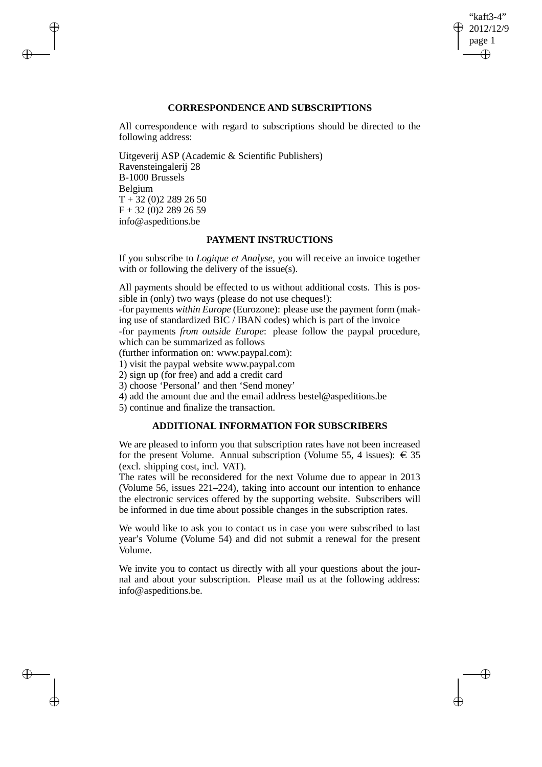"kaft3-4" 2012/12/9 page 1 ✐ ✐

✐

✐

# **CORRESPONDENCE AND SUBSCRIPTIONS**

All correspondence with regard to subscriptions should be directed to the following address:

Uitgeverij ASP (Academic & Scientific Publishers) Ravensteingalerij 28 B-1000 Brussels Belgium  $T + 32 (0)2 289 26 50$  $F + 32 (0)2 289 26 59$ info@aspeditions.be

 $\rightarrow$ 

 $\rightarrow$ 

✐

✐

## **PAYMENT INSTRUCTIONS**

If you subscribe to *Logique et Analyse*, you will receive an invoice together with or following the delivery of the issue(s).

All payments should be effected to us without additional costs. This is possible in (only) two ways (please do not use cheques!):

-for payments *within Europe* (Eurozone): please use the payment form (making use of standardized BIC / IBAN codes) which is part of the invoice

-for payments *from outside Europe*: please follow the paypal procedure, which can be summarized as follows

(further information on: www.paypal.com):

1) visit the paypal website www.paypal.com

2) sign up (for free) and add a credit card

3) choose 'Personal' and then 'Send money'

4) add the amount due and the email address bestel@aspeditions.be

5) continue and finalize the transaction.

# **ADDITIONAL INFORMATION FOR SUBSCRIBERS**

We are pleased to inform you that subscription rates have not been increased for the present Volume. Annual subscription (Volume 55, 4 issues):  $\in$  35 (excl. shipping cost, incl. VAT).

The rates will be reconsidered for the next Volume due to appear in 2013 (Volume 56, issues 221–224), taking into account our intention to enhance the electronic services offered by the supporting website. Subscribers will be informed in due time about possible changes in the subscription rates.

We would like to ask you to contact us in case you were subscribed to last year's Volume (Volume 54) and did not submit a renewal for the present Volume.

We invite you to contact us directly with all your questions about the journal and about your subscription. Please mail us at the following address: info@aspeditions.be.